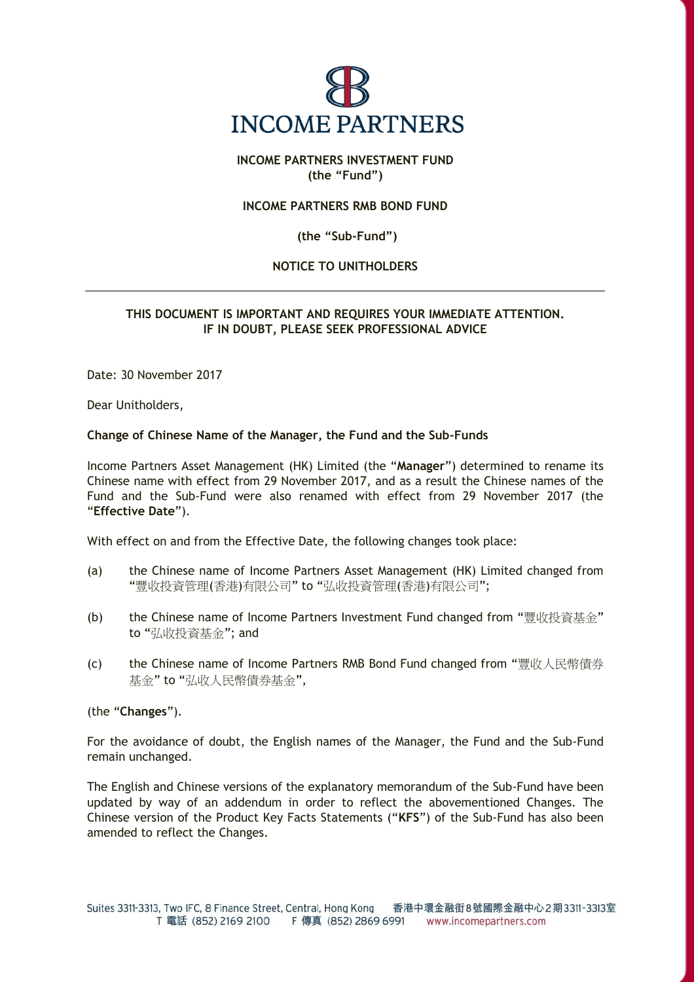

# **INCOME PARTNERS INVESTMENT FUND (the "Fund")**

### **INCOME PARTNERS RMB BOND FUND**

#### **(the "Sub-Fund")**

## **NOTICE TO UNITHOLDERS**

# **THIS DOCUMENT IS IMPORTANT AND REQUIRES YOUR IMMEDIATE ATTENTION. IF IN DOUBT, PLEASE SEEK PROFESSIONAL ADVICE**

Date: 30 November 2017

Dear Unitholders,

#### **Change of Chinese Name of the Manager, the Fund and the Sub-Funds**

Income Partners Asset Management (HK) Limited (the "**Manager**") determined to rename its Chinese name with effect from 29 November 2017, and as a result the Chinese names of the Fund and the Sub-Fund were also renamed with effect from 29 November 2017 (the "**Effective Date**").

With effect on and from the Effective Date, the following changes took place:

- (a) the Chinese name of Income Partners Asset Management (HK) Limited changed from "豐收投資管理(香港)有限公司" to "弘收投資管理(香港)有限公司";
- (b) the Chinese name of Income Partners Investment Fund changed from "豐收投資基金" to "弘收投資基金"; and
- (c) the Chinese name of Income Partners RMB Bond Fund changed from "豐收人民幣債券 基金" to "弘收人民幣債券基金",

(the "**Changes**").

For the avoidance of doubt, the English names of the Manager, the Fund and the Sub-Fund remain unchanged.

The English and Chinese versions of the explanatory memorandum of the Sub-Fund have been updated by way of an addendum in order to reflect the abovementioned Changes. The Chinese version of the Product Key Facts Statements ("**KFS**") of the Sub-Fund has also been amended to reflect the Changes.